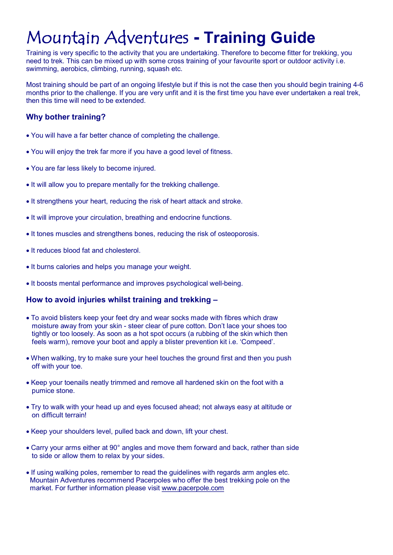# Mountain Adventures **Training Guide**

Training is very specific to the activity that you are undertaking. Therefore to become fitter for trekking, you need to trek. This can be mixed up with some cross training of your favourite sport or outdoor activity i.e. swimming, aerobics, climbing, running, squash etc.

Most training should be part of an ongoing lifestyle but if this is not the case then you should begin training 4-6 months prior to the challenge. If you are very unfit and it is the first time you have ever undertaken a real trek, then this time will need to be extended.

# **Why bother training?**

- · You will have a far better chance of completing the challenge.
- · You will enjoy the trek far more if you have a good level of fitness.
- · You are far less likely to become injured.
- It will allow you to prepare mentally for the trekking challenge.
- · It strengthens your heart, reducing the risk of heart attack and stroke.
- · It will improve your circulation, breathing and endocrine functions.
- · It tones muscles and strengthens bones, reducing the risk of osteoporosis.
- · It reduces blood fat and cholesterol.
- · It burns calories and helps you manage your weight.
- It boosts mental performance and improves psychological well-being.

## **How to avoid injuries whilst training and trekking –**

- · To avoid blisters keep your feet dry and wear socks made with fibres which draw moisture away from your skin - steer clear of pure cotton. Don't lace your shoes too tightly or too loosely. As soon as a hot spot occurs (a rubbing of the skin which then feels warm), remove your boot and apply a blister prevention kit i.e. 'Compeed'.
- · When walking, try to make sure your heel touches the ground first and then you push off with your toe.
- · Keep your toenails neatly trimmed and remove all hardened skin on the foot with a pumice stone.
- · Try to walk with your head up and eyes focused ahead; not always easy at altitude or on difficult terrain!
- · Keep your shoulders level, pulled back and down, lift your chest.
- Carry your arms either at 90° angles and move them forward and back, rather than side to side or allow them to relax by your sides.
- · If using walking poles, remember to read the guidelines with regards arm angles etc. Mountain Adventures recommend Pacerpoles who offer the best trekking pole on the market. For further information please visit [www.pacerpole.com](http://www.pacerpole.com/)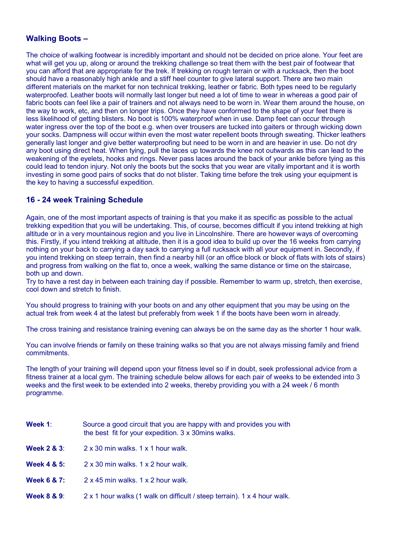#### **Walking Boots –**

The choice of walking footwear is incredibly important and should not be decided on price alone. Your feet are what will get you up, along or around the trekking challenge so treat them with the best pair of footwear that you can afford that are appropriate for the trek. If trekking on rough terrain or with a rucksack, then the boot should have a reasonably high ankle and a stiff heel counter to give lateral support. There are two main different materials on the market for non technical trekking, leather or fabric. Both types need to be regularly waterproofed. Leather boots will normally last longer but need a lot of time to wear in whereas a good pair of fabric boots can feel like a pair of trainers and not always need to be worn in. Wear them around the house, on the way to work, etc, and then on longer trips. Once they have conformed to the shape of your feet there is less likelihood of getting blisters. No boot is 100% waterproof when in use. Damp feet can occur through water ingress over the top of the boot e.g. when over trousers are tucked into gaiters or through wicking down your socks. Dampness will occur within even the most water repellent boots through sweating. Thicker leathers generally last longer and give better waterproofing but need to be worn in and are heavier in use. Do not dry any boot using direct heat. When tying, pull the laces up towards the knee not outwards as this can lead to the weakening of the eyelets, hooks and rings. Never pass laces around the back of your ankle before tying as this could lead to tendon injury. Not only the boots but the socks that you wear are vitally important and it is worth investing in some good pairs of socks that do not blister. Taking time before the trek using your equipment is the key to having a successful expedition.

#### **16 24 week Training Schedule**

Again, one of the most important aspects of training is that you make it as specific as possible to the actual trekking expedition that you will be undertaking. This, of course, becomes difficult if you intend trekking at high altitude or in a very mountainous region and you live in Lincolnshire. There are however ways of overcoming this. Firstly, if you intend trekking at altitude, then it is a good idea to build up over the 16 weeks from carrying nothing on your back to carrying a day sack to carrying a full rucksack with all your equipment in. Secondly, if you intend trekking on steep terrain, then find a nearby hill (or an office block or block of flats with lots of stairs) and progress from walking on the flat to, once a week, walking the same distance or time on the staircase, both up and down.

Try to have a rest day in between each training day if possible. Remember to warm up, stretch, then exercise, cool down and stretch to finish.

You should progress to training with your boots on and any other equipment that you may be using on the actual trek from week 4 at the latest but preferably from week 1 if the boots have been worn in already.

The cross training and resistance training evening can always be on the same day as the shorter 1 hour walk.

You can involve friends or family on these training walks so that you are not always missing family and friend commitments.

The length of your training will depend upon your fitness level so if in doubt, seek professional advice from a fitness trainer at a local gym. The training schedule below allows for each pair of weeks to be extended into 3 weeks and the first week to be extended into 2 weeks, thereby providing you with a 24 week / 6 month programme.

- **Week 1:** Source a good circuit that you are happy with and provides you with the best fit for your expedition. 3 x 30mins walks.
- **Week 2 & 3**: 2 x 30 min walks. 1 x 1 hour walk.
- **Week 4 & 5:** 2 x 30 min walks. 1 x 2 hour walk.
- **Week 6 & 7:** 2 x 45 min walks. 1 x 2 hour walk.
- **Week 8 & 9:** 2 x 1 hour walks (1 walk on difficult / steep terrain). 1 x 4 hour walk.